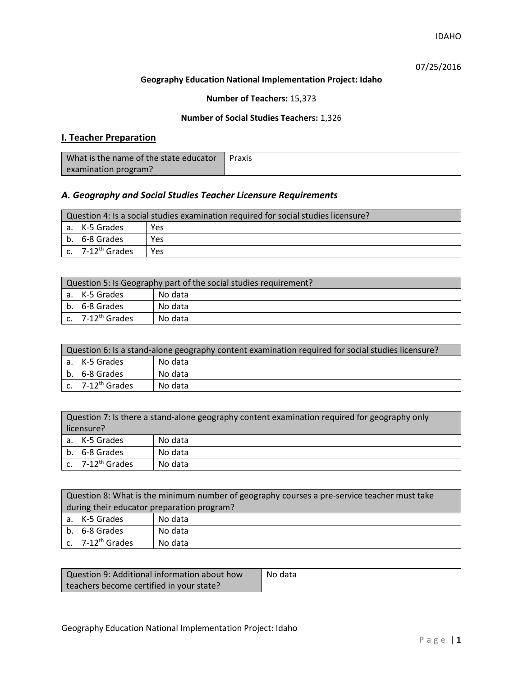IDAHO

07/25/2016

### **Geography Education National Implementation Project: Idaho**

## **Number of Teachers:** 15,373

### **Number of Social Studies Teachers:** 1,326

## **I. Teacher Preparation**

| What is the name of the state educator | Praxis |
|----------------------------------------|--------|
| examination program?                   |        |

## *A. Geography and Social Studies Teacher Licensure Requirements*

| Question 4: Is a social studies examination required for social studies licensure? |                                |     |
|------------------------------------------------------------------------------------|--------------------------------|-----|
|                                                                                    | l a. K-5 Grades                | Yes |
|                                                                                    | b. 6-8 Grades                  | Yes |
|                                                                                    | $c.$ 7-12 <sup>th</sup> Grades | Yes |

| Question 5: Is Geography part of the social studies requirement? |                              |         |
|------------------------------------------------------------------|------------------------------|---------|
|                                                                  | l a. K-5 Grades              | No data |
|                                                                  | b. 6-8 Grades                | No data |
|                                                                  | c. 7-12 <sup>th</sup> Grades | No data |

| Question 6: Is a stand-alone geography content examination required for social studies licensure? |         |  |
|---------------------------------------------------------------------------------------------------|---------|--|
| a. K-5 Grades                                                                                     | No data |  |
| b. 6-8 Grades                                                                                     | No data |  |
| c. 7-12 <sup>th</sup> Grades                                                                      | No data |  |

|            | Question 7: Is there a stand-alone geography content examination required for geography only |         |  |
|------------|----------------------------------------------------------------------------------------------|---------|--|
| licensure? |                                                                                              |         |  |
|            | a. K-5 Grades                                                                                | No data |  |
|            | b. 6-8 Grades                                                                                | No data |  |
|            | c. 7-12 <sup>th</sup> Grades                                                                 | No data |  |

| Question 8: What is the minimum number of geography courses a pre-service teacher must take |         |  |
|---------------------------------------------------------------------------------------------|---------|--|
| during their educator preparation program?                                                  |         |  |
| a. K-5 Grades                                                                               | No data |  |
| b. 6-8 Grades                                                                               | No data |  |
| c. 7-12 <sup>th</sup> Grades                                                                | No data |  |

| Question 9: Additional information about how | No data |
|----------------------------------------------|---------|
| teachers become certified in your state?     |         |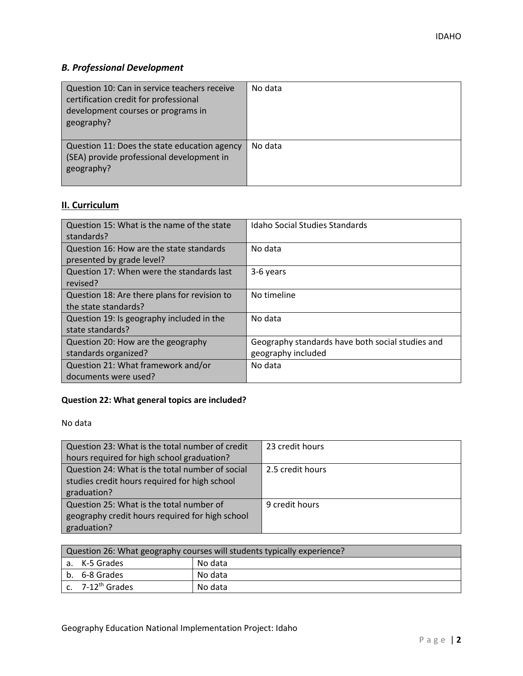# *B. Professional Development*

| Question 10: Can in service teachers receive<br>certification credit for professional<br>development courses or programs in<br>geography? | No data |
|-------------------------------------------------------------------------------------------------------------------------------------------|---------|
| Question 11: Does the state education agency<br>(SEA) provide professional development in<br>geography?                                   | No data |

# **II. Curriculum**

| Question 15: What is the name of the state<br>standards?              | Idaho Social Studies Standards                                         |
|-----------------------------------------------------------------------|------------------------------------------------------------------------|
| Question 16: How are the state standards<br>presented by grade level? | No data                                                                |
| Question 17: When were the standards last<br>revised?                 | 3-6 years                                                              |
| Question 18: Are there plans for revision to<br>the state standards?  | No timeline                                                            |
| Question 19: Is geography included in the<br>state standards?         | No data                                                                |
| Question 20: How are the geography<br>standards organized?            | Geography standards have both social studies and<br>geography included |
| Question 21: What framework and/or<br>documents were used?            | No data                                                                |

# **Question 22: What general topics are included?**

No data

| Question 23: What is the total number of credit | 23 credit hours  |
|-------------------------------------------------|------------------|
| hours required for high school graduation?      |                  |
| Question 24: What is the total number of social | 2.5 credit hours |
| studies credit hours required for high school   |                  |
| graduation?                                     |                  |
| Question 25: What is the total number of        | 9 credit hours   |
| geography credit hours required for high school |                  |
| graduation?                                     |                  |

| Question 26: What geography courses will students typically experience? |                              |         |  |  |
|-------------------------------------------------------------------------|------------------------------|---------|--|--|
|                                                                         | No data<br>a. K-5 Grades     |         |  |  |
|                                                                         | b. 6-8 Grades                | No data |  |  |
|                                                                         | c. 7-12 <sup>th</sup> Grades | No data |  |  |